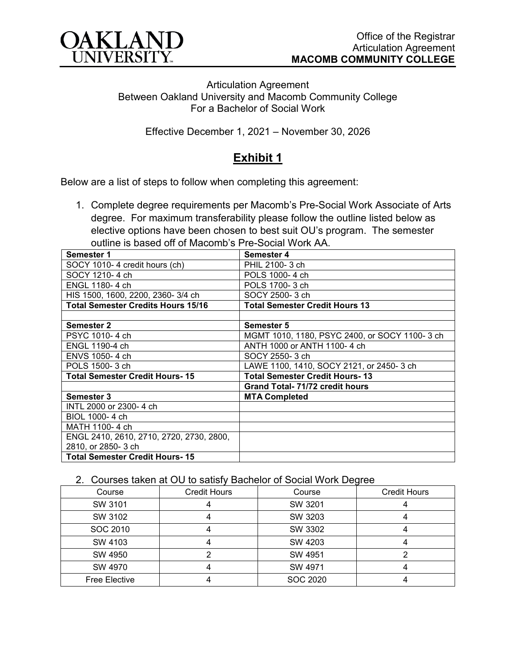

Articulation Agreement Between Oakland University and Macomb Community College For a Bachelor of Social Work

Effective December 1, 2021 – November 30, 2026

## **Exhibit 1**

Below are a list of steps to follow when completing this agreement:

1. Complete degree requirements per Macomb's Pre-Social Work Associate of Arts degree. For maximum transferability please follow the outline listed below as elective options have been chosen to best suit OU's program. The semester outline is based off of Macomb's Pre-Social Work AA.

| Semester 1                                | Semester 4                                    |  |  |
|-------------------------------------------|-----------------------------------------------|--|--|
| SOCY 1010-4 credit hours (ch)             | PHIL 2100-3 ch                                |  |  |
| SOCY 1210-4 ch                            | POLS 1000-4 ch                                |  |  |
| ENGL 1180-4 ch                            | POLS 1700-3 ch                                |  |  |
| HIS 1500, 1600, 2200, 2360-3/4 ch         | SOCY 2500-3 ch                                |  |  |
| <b>Total Semester Credits Hours 15/16</b> | <b>Total Semester Credit Hours 13</b>         |  |  |
|                                           |                                               |  |  |
| <b>Semester 2</b>                         | Semester 5                                    |  |  |
| PSYC 1010-4 ch                            | MGMT 1010, 1180, PSYC 2400, or SOCY 1100-3 ch |  |  |
| ENGL 1190-4 ch                            | ANTH 1000 or ANTH 1100-4 ch                   |  |  |
| ENVS 1050-4 ch                            | SOCY 2550-3 ch                                |  |  |
| POLS 1500-3 ch                            | LAWE 1100, 1410, SOCY 2121, or 2450-3 ch      |  |  |
| <b>Total Semester Credit Hours-15</b>     | <b>Total Semester Credit Hours-13</b>         |  |  |
|                                           | <b>Grand Total-71/72 credit hours</b>         |  |  |
| <b>Semester 3</b>                         | <b>MTA Completed</b>                          |  |  |
| INTL 2000 or 2300-4 ch                    |                                               |  |  |
| BIOL 1000-4 ch                            |                                               |  |  |
| MATH 1100-4 ch                            |                                               |  |  |
| ENGL 2410, 2610, 2710, 2720, 2730, 2800,  |                                               |  |  |
| 2810, or 2850-3 ch                        |                                               |  |  |
| <b>Total Semester Credit Hours-15</b>     |                                               |  |  |

## 2. Courses taken at OU to satisfy Bachelor of Social Work Degree

| Course               | <b>Credit Hours</b> | Course   | <b>Credit Hours</b> |
|----------------------|---------------------|----------|---------------------|
| SW 3101              |                     | SW 3201  |                     |
| SW 3102              |                     | SW 3203  |                     |
| SOC 2010             |                     | SW 3302  |                     |
| SW 4103              |                     | SW 4203  |                     |
| SW 4950              |                     | SW 4951  |                     |
| SW 4970              |                     | SW 4971  |                     |
| <b>Free Elective</b> |                     | SOC 2020 |                     |